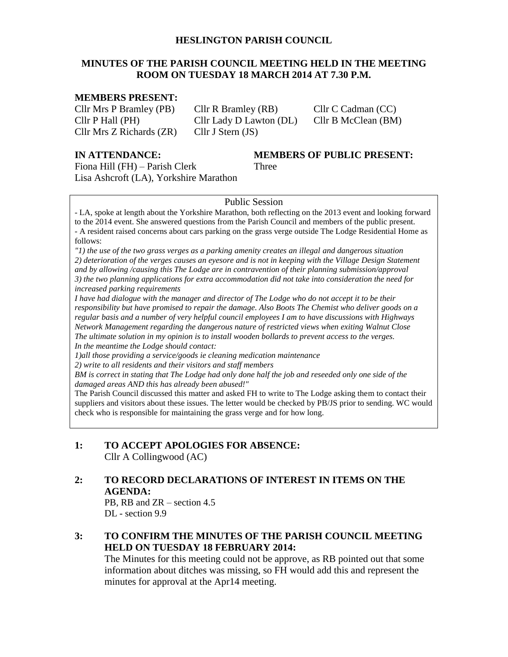#### **HESLINGTON PARISH COUNCIL**

#### **MINUTES OF THE PARISH COUNCIL MEETING HELD IN THE MEETING ROOM ON TUESDAY 18 MARCH 2014 AT 7.30 P.M.**

## **MEMBERS PRESENT:**

Cllr Mrs P Bramley (PB) Cllr R Bramley (RB) Cllr C Cadman (CC) Cllr P Hall (PH) Cllr Lady D Lawton (DL) Cllr B McClean (BM) Cllr Mrs Z Richards (ZR) Cllr J Stern (JS)

**IN ATTENDANCE: MEMBERS OF PUBLIC PRESENT:**

Fiona Hill (FH) – Parish Clerk Three Lisa Ashcroft (LA), Yorkshire Marathon

#### Public Session

- LA, spoke at length about the Yorkshire Marathon, both reflecting on the 2013 event and looking forward to the 2014 event. She answered questions from the Parish Council and members of the public present. - A resident raised concerns about cars parking on the grass verge outside The Lodge Residential Home as follows:

*"1) the use of the two grass verges as a parking amenity creates an illegal and dangerous situation 2) deterioration of the verges causes an eyesore and is not in keeping with the Village Design Statement and by allowing /causing this The Lodge are in contravention of their planning submission/approval 3) the two planning applications for extra accommodation did not take into consideration the need for increased parking requirements* 

*I have had dialogue with the manager and director of The Lodge who do not accept it to be their responsibility but have promised to repair the damage. Also Boots The Chemist who deliver goods on a regular basis and a number of very helpful council employees I am to have discussions with Highways Network Management regarding the dangerous nature of restricted views when exiting Walnut Close The ultimate solution in my opinion is to install wooden bollards to prevent access to the verges. In the meantime the Lodge should contact:*

*1)all those providing a service/goods ie cleaning medication maintenance* 

*2) write to all residents and their visitors and staff members* 

*BM is correct in stating that The Lodge had only done half the job and reseeded only one side of the damaged areas AND this has already been abused!"* 

The Parish Council discussed this matter and asked FH to write to The Lodge asking them to contact their suppliers and visitors about these issues. The letter would be checked by PB/JS prior to sending. WC would check who is responsible for maintaining the grass verge and for how long.

#### **1: TO ACCEPT APOLOGIES FOR ABSENCE:** Cllr A Collingwood (AC)

#### **2: TO RECORD DECLARATIONS OF INTEREST IN ITEMS ON THE AGENDA:**

PB, RB and ZR – section 4.5 DL - section 9.9

## **3: TO CONFIRM THE MINUTES OF THE PARISH COUNCIL MEETING HELD ON TUESDAY 18 FEBRUARY 2014:**

The Minutes for this meeting could not be approve, as RB pointed out that some information about ditches was missing, so FH would add this and represent the minutes for approval at the Apr14 meeting.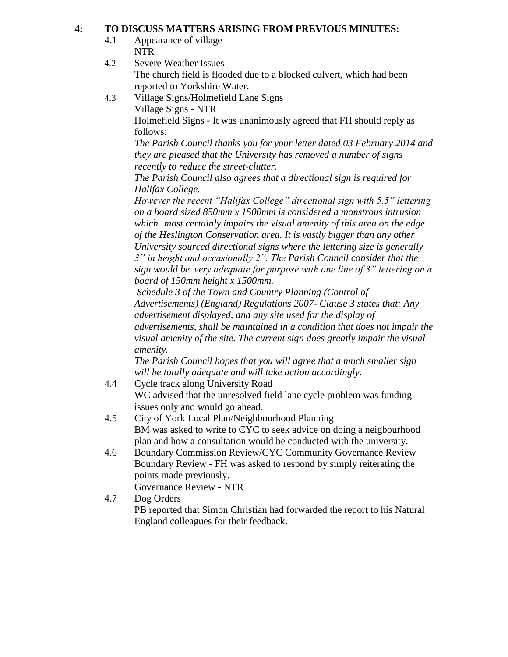## **4: TO DISCUSS MATTERS ARISING FROM PREVIOUS MINUTES:**

- 4.1 Appearance of village NTR
- 4.2 Severe Weather Issues The church field is flooded due to a blocked culvert, which had been reported to Yorkshire Water.
- 4.3 Village Signs/Holmefield Lane Signs Village Signs - NTR Holmefield Signs - It was unanimously agreed that FH should reply as follows: *The Parish Council thanks you for your letter dated 03 February 2014 and*

*they are pleased that the University has removed a number of signs recently to reduce the street-clutter.*

*The Parish Council also agrees that a directional sign is required for Halifax College.*

*However the recent "Halifax College" directional sign with 5.5" lettering on a board sized 850mm x 1500mm is considered a monstrous intrusion which most certainly impairs the visual amenity of this area on the edge of the Heslington Conservation area. It is vastly bigger than any other University sourced directional signs where the lettering size is generally 3" in height and occasionally 2". The Parish Council consider that the sign would be very adequate for purpose with one line of 3" lettering on a board of 150mm height x 1500mm.* 

*Schedule 3 of the Town and Country Planning (Control of Advertisements) (England) Regulations 2007- Clause 3 states that: Any advertisement displayed, and any site used for the display of advertisements, shall be maintained in a condition that does not impair the visual amenity of the site. The current sign does greatly impair the visual amenity.*

*The Parish Council hopes that you will agree that a much smaller sign will be totally adequate and will take action accordingly.*

- 4.4 Cycle track along University Road WC advised that the unresolved field lane cycle problem was funding issues only and would go ahead.
- 4.5 City of York Local Plan/Neighbourhood Planning BM was asked to write to CYC to seek advice on doing a neigbourhood plan and how a consultation would be conducted with the university.
- 4.6 Boundary Commission Review/CYC Community Governance Review Boundary Review - FH was asked to respond by simply reiterating the points made previously. Governance Review - NTR
- 4.7 Dog Orders PB reported that Simon Christian had forwarded the report to his Natural England colleagues for their feedback.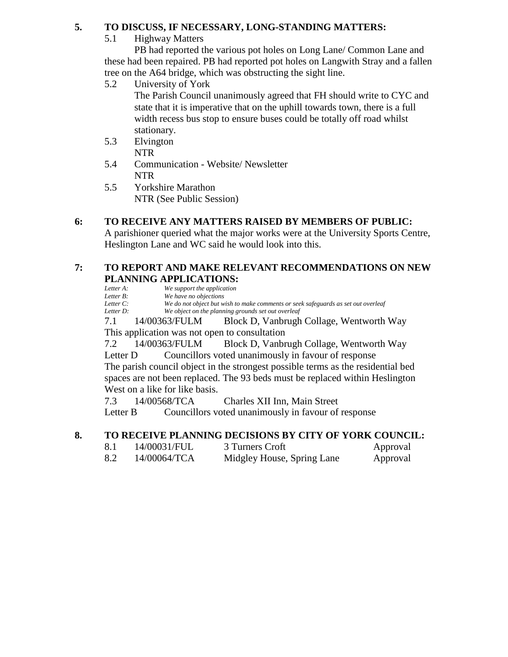## **5. TO DISCUSS, IF NECESSARY, LONG-STANDING MATTERS:**

## 5.1 Highway Matters

PB had reported the various pot holes on Long Lane/ Common Lane and these had been repaired. PB had reported pot holes on Langwith Stray and a fallen tree on the A64 bridge, which was obstructing the sight line.

5.2 University of York

The Parish Council unanimously agreed that FH should write to CYC and state that it is imperative that on the uphill towards town, there is a full width recess bus stop to ensure buses could be totally off road whilst stationary.

- 5.3 Elvington NTR
- 5.4 Communication Website/ Newsletter NTR
- 5.5 Yorkshire Marathon NTR (See Public Session)

# **6: TO RECEIVE ANY MATTERS RAISED BY MEMBERS OF PUBLIC:**

A parishioner queried what the major works were at the University Sports Centre, Heslington Lane and WC said he would look into this.

## **7: TO REPORT AND MAKE RELEVANT RECOMMENDATIONS ON NEW PLANNING APPLICATIONS:**

*Letter A: We support the application*<br>*Letter B: We have no objections Letter B: We have no objections Letter C: We do not object but wish to make comments or seek safeguards as set out overleaf Letter D: We object on the planning grounds set out overleaf*

7.1 14/00363/FULM Block D, Vanbrugh Collage, Wentworth Way This application was not open to consultation

7.2 14/00363/FULM Block D, Vanbrugh Collage, Wentworth Way Letter D Councillors voted unanimously in favour of response

The parish council object in the strongest possible terms as the residential bed spaces are not been replaced. The 93 beds must be replaced within Heslington West on a like for like basis.

7.3 14/00568/TCA Charles XII Inn, Main Street

Letter B Councillors voted unanimously in favour of response

## **8. TO RECEIVE PLANNING DECISIONS BY CITY OF YORK COUNCIL:**

8.1 14/00031/FUL 3 Turners Croft Approval 8.2 14/00064/TCA Midgley House, Spring Lane Approval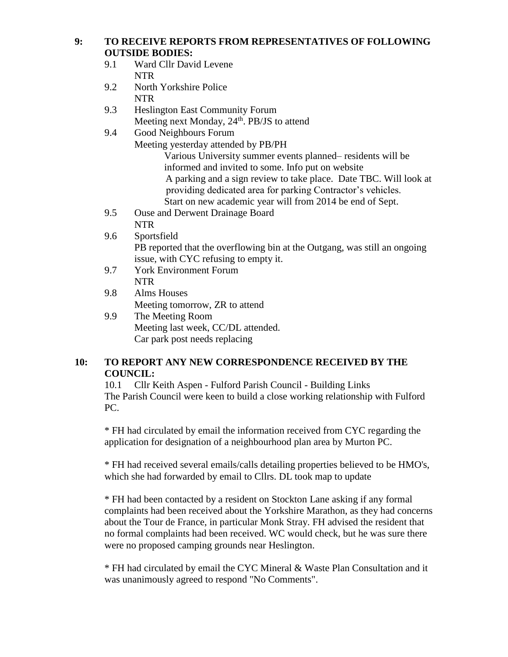#### **9: TO RECEIVE REPORTS FROM REPRESENTATIVES OF FOLLOWING OUTSIDE BODIES:**

- 9.1 Ward Cllr David Levene NTR
- 9.2 North Yorkshire Police NTR
- 9.3 Heslington East Community Forum Meeting next Monday, 24<sup>th</sup>. PB/JS to attend
- 9.4 Good Neighbours Forum
	- Meeting yesterday attended by PB/PH

Various University summer events planned– residents will be informed and invited to some. Info put on website A parking and a sign review to take place. Date TBC. Will look at providing dedicated area for parking Contractor's vehicles. Start on new academic year will from 2014 be end of Sept.

- 9.5 Ouse and Derwent Drainage Board NTR
- 9.6 Sportsfield PB reported that the overflowing bin at the Outgang, was still an ongoing issue, with CYC refusing to empty it.
- 9.7 York Environment Forum NTR
- 9.8 Alms Houses Meeting tomorrow, ZR to attend
- 9.9 The Meeting Room Meeting last week, CC/DL attended. Car park post needs replacing

## **10: TO REPORT ANY NEW CORRESPONDENCE RECEIVED BY THE COUNCIL:**

10.1 Cllr Keith Aspen - Fulford Parish Council - Building Links The Parish Council were keen to build a close working relationship with Fulford PC.

\* FH had circulated by email the information received from CYC regarding the application for designation of a neighbourhood plan area by Murton PC.

\* FH had received several emails/calls detailing properties believed to be HMO's, which she had forwarded by email to Cllrs. DL took map to update

\* FH had been contacted by a resident on Stockton Lane asking if any formal complaints had been received about the Yorkshire Marathon, as they had concerns about the Tour de France, in particular Monk Stray. FH advised the resident that no formal complaints had been received. WC would check, but he was sure there were no proposed camping grounds near Heslington.

\* FH had circulated by email the CYC Mineral & Waste Plan Consultation and it was unanimously agreed to respond "No Comments".